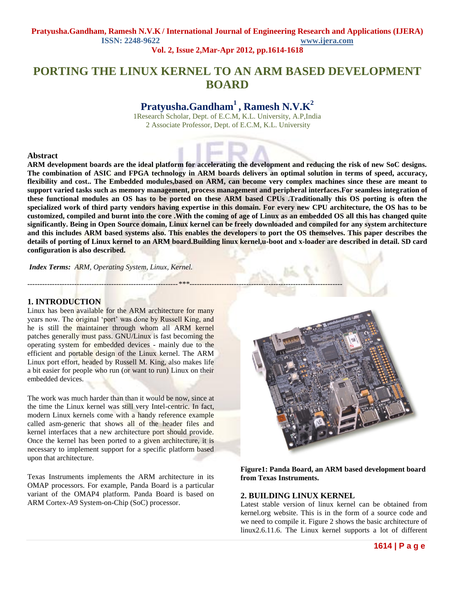# **PORTING THE LINUX KERNEL TO AN ARM BASED DEVELOPMENT BOARD**

# **Pratyusha.Gandham<sup>1</sup>, Ramesh N.V.K<sup>2</sup>**

1Research Scholar, Dept. of E.C.M, K.L. University, A.P,India 2 Associate Professor, Dept. of E.C.M, K.L. University

### **Abstract**

**ARM development boards are the ideal platform for accelerating the development and reducing the risk of new SoC designs. The combination of ASIC and FPGA technology in ARM boards delivers an optimal solution in terms of speed, accuracy, flexibility and cost.. The Embedded modules,based on ARM, can become very complex machines since these are meant to support varied tasks such as memory management, process management and peripheral interfaces.For seamless integration of these functional modules an OS has to be ported on these ARM based CPUs .Traditionally this OS porting is often the specialized work of third party vendors having expertise in this domain. For every new CPU architecture, the OS has to be customized, compiled and burnt into the core .With the coming of age of Linux as an embedded OS all this has changed quite significantly. Being in Open Source domain, Linux kernel can be freely downloaded and compiled for any system architecture and this includes ARM based systems also. This enables the developers to port the OS themselves. This paper describes the details of porting of Linux kernel to an ARM board.Building linux kernel,u-boot and x-loader are described in detail. SD card configuration is also described.**

*Index Terms: ARM, Operating System, Linux, Kernel.*

### **1. INTRODUCTION**

*-------------------------------------------------------------\*\*\*--------------------------------------------------------------*

Linux has been available for the ARM architecture for many years now. The original 'port' was done by Russell King, and he is still the maintainer through whom all ARM kernel patches generally must pass. GNU/Linux is fast becoming the operating system for embedded devices - mainly due to the efficient and portable design of the Linux kernel. The ARM Linux port effort, headed by Russell M. King, also makes life a bit easier for people who run (or want to run) Linux on their embedded devices.

The work was much harder than than it would be now, since at the time the Linux kernel was still very Intel-centric. In fact, modern Linux kernels come with a handy reference example called asm-generic that shows all of the header files and kernel interfaces that a new architecture port should provide. Once the kernel has been ported to a given architecture, it is necessary to implement support for a specific platform based upon that architecture.

Texas Instruments implements the ARM architecture in its OMAP processors. For example, Panda Board is a particular variant of the OMAP4 platform. Panda Board is based on ARM Cortex-A9 System-on-Chip (SoC) processor.



**Figure1: Panda Board, an ARM based development board from Texas Instruments.**

# **2. BUILDING LINUX KERNEL**

Latest stable version of linux kernel can be obtained from kernel.org website. This is in the form of a source code and we need to compile it. Figure 2 shows the basic architecture of linux2.6.11.6. The Linux kernel supports a lot of different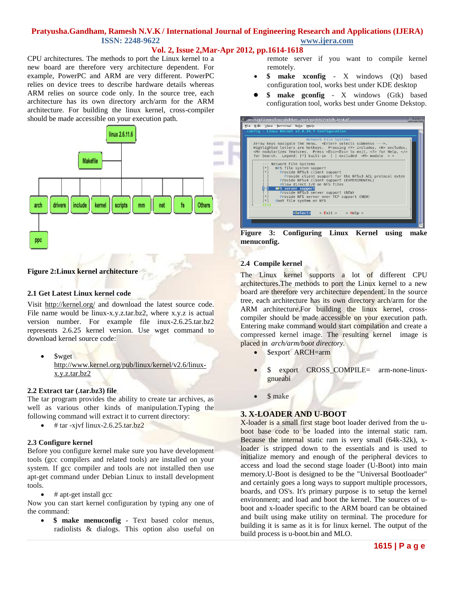# **Vol. 2, Issue 2,Mar-Apr 2012, pp.1614-1618**

CPU architectures. The methods to port the Linux kernel to a new board are therefore very architecture dependent. For example, PowerPC and ARM are very different. PowerPC relies on device trees to describe hardware details whereas ARM relies on source code only. In the source tree, each architecture has its own directory arch/arm for the ARM architecture. For building the linux kernel, cross-compiler should be made accessible on your execution path.



# **Figure 2:Linux kernel architecture**

### **2.1 Get Latest Linux kernel code**

Visit [http://k](http://kernel.org/)erne[l.o](http://kernel.org/)r[g/](http://kernel.org/) and download the latest source code. File name would be linux-x.y.z.tar.bz2, where x.y.z is actual version number. For example file inux-2.6.25.tar.bz2 represents 2.6.25 kernel version. Use wget command to download kernel source code:

 \$wget [http://w](http://www.kernel.org/pub/linux/kernel/v2.6/linux-x.y.z.tar.bz2)w[w.k](http://www.kernel.org/pub/linux/kernel/v2.6/linux-x.y.z.tar.bz2)erne[l.o](http://www.kernel.org/pub/linux/kernel/v2.6/linux-x.y.z.tar.bz2)r[g/p](http://www.kernel.org/pub/linux/kernel/v2.6/linux-x.y.z.tar.bz2)u[b/li](http://www.kernel.org/pub/linux/kernel/v2.6/linux-x.y.z.tar.bz2)nu[x/k](http://www.kernel.org/pub/linux/kernel/v2.6/linux-x.y.z.tar.bz2)erne[l/v2.6/l](http://www.kernel.org/pub/linux/kernel/v2.6/linux-x.y.z.tar.bz2)inu[x](http://www.kernel.org/pub/linux/kernel/v2.6/linux-x.y.z.tar.bz2)[x.y.z.t](http://www.kernel.org/pub/linux/kernel/v2.6/linux-x.y.z.tar.bz2)a[r.bz2](http://www.kernel.org/pub/linux/kernel/v2.6/linux-x.y.z.tar.bz2)

#### **2.2 Extract tar (.tar.bz3) file**

The tar program provides the ability to create tar archives, as well as various other kinds of manipulation.Typing the following command will extract it to current directory:

 $\bullet$  # tar -xjvf linux-2.6.25.tar.bz2

### **2.3 Configure kernel**

Before you configure kernel make sure you have development tools (gcc compilers and related tools) are installed on your system. If gcc compiler and tools are not installed then use apt-get command under Debian Linux to install development tools.

# apt-get install gcc

Now you can start kernel configuration by typing any one of the command:

 **\$ make menuconfig** - Text based color menus, radiolists & dialogs. This option also useful on remote server if you want to compile kernel remotely.

- **\$ make xconfig** X windows (Qt) based configuration tool, works best under KDE desktop
- **\$ make gconfig** X windows (Gtk) based configuration tool, works best under Gnome Dekstop.

**Figure 3: Configuring Linux Kernel using make menuconfig.**

### **2.4 Compile kernel**

The Linux kernel supports a lot of different CPU architectures.The methods to port the Linux kernel to a new board are therefore very architecture dependent. In the source tree, each architecture has its own directory arch/arm for the ARM architecture.For building the linux kernel, crosscompiler should be made accessible on your execution path. Entering make command would start compilation and create a compressed kernel image. The resulting kernel image is placed in *arch/arm/boot directory.*

- \$export ARCH=arm
- \$ export CROSS\_COMPILE= arm-none-linuxgnueabi
- \$ make

### **3. X-LOADER AND U-BOOT**

X-loader is a small first stage boot loader derived from the uboot base code to be loaded into the internal static ram. Because the internal static ram is very small (64k-32k), xloader is stripped down to the essentials and is used to initialize memory and enough of the peripheral devices to access and load the second stage loader (U-Boot) into main memory.U-Boot is designed to be the "Universal Bootloader" and certainly goes a long ways to support multiple processors, boards, and OS's. It's primary purpose is to setup the kernel environment; and load and boot the kernel. The sources of uboot and x-loader specific to the ARM board can be obtained and built using make utility on terminal. The procedure for building it is same as it is for linux kernel. The output of the build process is u-boot.bin and MLO.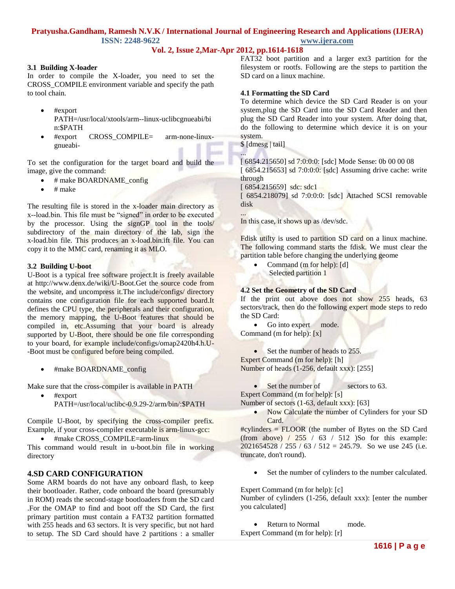# **Vol. 2, Issue 2,Mar-Apr 2012, pp.1614-1618**

### **3.1 Building X-loader**

In order to compile the X-loader, you need to set the CROSS\_COMPILE environment variable and specify the path to tool chain.

- #export PATH=/usr/local/xtools/arm--linux-uclibcgnueabi/bi n:\$PATH
- #export CROSS\_COMPILE= arm-none-linuxgnueabi-

To set the configuration for the target board and build the image, give the command:

- # make BOARDNAME\_config
- # make

The resulting file is stored in the x-loader main directory as x--load.bin. This file must be "signed" in order to be executed by the processor. Using the signGP tool in the tools/ subdirectory of the main directory of the lab, sign the x-load.bin file. This produces an x-load.bin.ift file. You can copy it to the MMC card, renaming it as MLO.

#### **3.2 Building U-boot**

U-Boot is a typical free software project.It is freely available at http://www.denx.de/wiki/U-Boot.Get the source code from the website, and uncompress it.The include/configs/ directory contains one configuration file for each supported board.It defines the CPU type, the peripherals and their configuration, the memory mapping, the U-Boot features that should be compiled in, etc.Assuming that your board is already supported by U-Boot, there should be one file corresponding to your board, for example include/configs/omap2420h4.h.U- -Boot must be configured before being compiled.

#make BOARDNAME\_config

Make sure that the cross-compiler is available in PATH

 #export PATH=/usr/local/uclibc-0.9.29-2/arm/bin/:\$PATH

Compile U-Boot, by specifying the cross-compiler prefix. Example, if your cross-compiler executable is arm-linux-gcc:

#make CROSS\_COMPILE=arm-linux

This command would result in u-boot.bin file in working directory

#### **4.SD CARD CONFIGURATION**

Some ARM boards do not have any onboard flash, to keep their bootloader. Rather, code onboard the board (presumably in ROM) reads the second-stage bootloaders from the SD card .For the OMAP to find and boot off the SD Card, the first primary partition must contain a FAT32 partition formatted with 255 heads and 63 sectors. It is very specific, but not hard to setup. The SD Card should have 2 partitions : a smaller FAT32 boot partition and a larger ext3 partition for the filesystem or rootfs. Following are the steps to partition the SD card on a linux machine.

#### **4.1 Formatting the SD Card**

To determine which device the SD Card Reader is on your system,plug the SD Card into the SD Card Reader and then plug the SD Card Reader into your system. After doing that, do the following to determine which device it is on your system.

\$ [dmesg | tail]

...

...

[ 6854.215650] sd 7:0:0:0: [sdc] Mode Sense: 0b 00 00 08 [ 6854.215653] sd 7:0:0:0: [ sdc] Assuming drive cache: write through [ 6854.215659] sdc: sdc1

[ 6854.218079] sd 7:0:0:0: [sdc] Attached SCSI removable disk

In this case, it shows up as /dev/sdc.

Fdisk utilty is used to partition SD card on a linux machine. The following command starts the fdisk. We must clear the partition table before changing the underlying geome

 Command (m for help): [d] Selected partition 1

### **4.2 Set the Geometry of the SD Card**

If the print out above does not show 255 heads, 63 sectors/track, then do the following expert mode steps to redo the SD Card:

• Go into expert mode. Command (m for help): [x]

• Set the number of heads to 255. Expert Command (m for help): [h] Number of heads (1-256, default xxx): [255]

Set the number of sectors to 63. Expert Command (m for help): [s] Number of sectors (1-63, default xxx): [63]

• Now Calculate the number of Cylinders for your SD Card.

#cylinders = FLOOR (the number of Bytes on the SD Card (from above)  $\frac{1}{255}$  / 63 / 512 )So for this example:  $2021654528 / 255 / 63 / 512 = 245.79$ . So we use 245 (i.e. truncate, don't round).

Set the number of cylinders to the number calculated.

Expert Command (m for help): [c]

Number of cylinders (1-256, default xxx): [enter the number you calculated]

- Return to Normal mode.
- Expert Command (m for help): [r]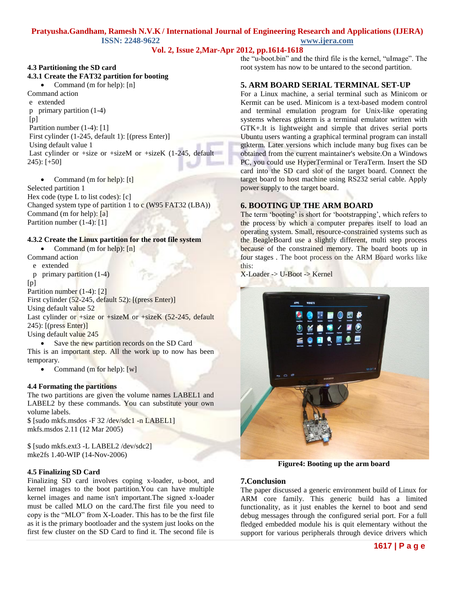# **Vol. 2, Issue 2,Mar-Apr 2012, pp.1614-1618**

# **4.3 Partitioning the SD card 4.3.1 Create the FAT32 partition for booting**

 Command (m for help): [n] Command action e extended p primary partition (1-4) [p] Partition number (1-4): [1] First cylinder (1-245, default 1): [(press Enter)] Using default value 1 Last cylinder or +size or +sizeM or +sizeK  $(1-245,$  default 245): [+50]

 Command (m for help): [t] Selected partition 1 Hex code (type L to list codes): [c] Changed system type of partition 1 to c (W95 FAT32 (LBA)) Command (m for help): [a] Partition number (1-4): [1]

### **4.3.2 Create the Linux partition for the root file system**

• Command (m for help):  $[n]$ 

# Command action

e extended

p primary partition (1-4)

```
[p]
```
Partition number (1-4): [2]

First cylinder (52-245, default 52): [(press Enter)]

Using default value 52

Last cylinder or +size or +sizeM or +sizeK (52-245, default 245): [(press Enter)]

Using default value 245

• Save the new partition records on the SD Card This is an important step. All the work up to now has been temporary.

• Command (m for help):  $[w]$ 

### **4.4 Formating the partitions**

The two partitions are given the volume names LABEL1 and LABEL2 by these commands. You can substitute your own volume labels.

\$ [sudo mkfs.msdos -F 32 /dev/sdc1 -n LABEL1] mkfs.msdos 2.11 (12 Mar 2005)

\$ [sudo mkfs.ext3 -L LABEL2 /dev/sdc2] mke2fs 1.40-WIP (14-Nov-2006)

# **4.5 Finalizing SD Card**

Finalizing SD card involves coping x-loader, u-boot, and kernel images to the boot partition.You can have multiple kernel images and name isn't important.The signed x-loader must be called MLO on the card.The first file you need to copy is the "MLO" from X-Loader. This has to be the first file as it is the primary bootloader and the system just looks on the first few cluster on the SD Card to find it. The second file is

the "u-boot.bin" and the third file is the kernel, "uImage". The root system has now to be untared to the second partition.

# **5. ARM BOARD SERIAL TERMINAL SET-UP**

For a Linux machine, a serial terminal such as Minicom or Kermit can be used. Minicom is a [text-based](http://en.wikipedia.org/wiki/Text-based) [modem](http://en.wikipedia.org/wiki/Modem) control and [terminal emulation](http://en.wikipedia.org/wiki/Terminal_emulation) program for [Unix-like](http://en.wikipedia.org/wiki/Unix-like) operating systems whereas gtkterm is a [terminal emulator](http://en.wikipedia.org/wiki/Terminal_emulator) written with [GTK+.](http://en.wikipedia.org/wiki/GTK%2B)It is lightweight and simple that drives serial ports Ubuntu users wanting a graphical terminal program can install gtkterm. Later versions which include many bug fixes can be obtained from the current maintainer's [website.](https://fedorahosted.org/gtkterm/)On a Windows PC, you could use HyperTerminal or TeraTerm. Insert the SD card into the SD card slot of the target board. Connect the target board to host machine using RS232 serial cable. Apply power supply to the target board.

## **6. BOOTING UP THE ARM BOARD**

The term 'booting' is short for 'bootstrapping', which refers to the process by which a computer prepares itself to load an operating system. Small, resource-constrained systems such as the BeagleBoard use a slightly different, multi step process because of the constrained memory. The board boots up in four stages . The boot process on the ARM Board works like this:

X-Loader -> U-Boot -> Kernel



**Figure4: Booting up the arm board**

### **7.Conclusion**

The paper discussed a generic environment build of Linux for ARM core family. This generic build has a limited functionality, as it just enables the kernel to boot and send debug messages through the configured serial port. For a full fledged embedded module his is quit elementary without the support for various peripherals through device drivers which